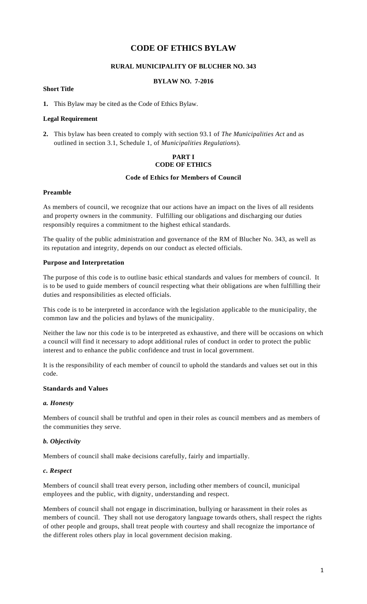# **CODE OF ETHICS BYLAW**

#### **RURAL MUNICIPALITY OF BLUCHER NO. 343**

#### **BYLAW NO. 7-2016**

### **Short Title**

**1.** This Bylaw may be cited as the Code of Ethics Bylaw.

#### **Legal Requirement**

**2.** This bylaw has been created to comply with section 93.1 of *The Municipalities Act* and as outlined in section 3.1, Schedule 1, of *Municipalities Regulations*).

### **PART I CODE OF ETHICS**

### **Code of Ethics for Members of Council**

#### **Preamble**

As members of council, we recognize that our actions have an impact on the lives of all residents and property owners in the community. Fulfilling our obligations and discharging our duties responsibly requires a commitment to the highest ethical standards.

The quality of the public administration and governance of the RM of Blucher No. 343, as well as its reputation and integrity, depends on our conduct as elected officials.

#### **Purpose and Interpretation**

The purpose of this code is to outline basic ethical standards and values for members of council. It is to be used to guide members of council respecting what their obligations are when fulfilling their duties and responsibilities as elected officials.

This code is to be interpreted in accordance with the legislation applicable to the municipality, the common law and the policies and bylaws of the municipality.

Neither the law nor this code is to be interpreted as exhaustive, and there will be occasions on which a council will find it necessary to adopt additional rules of conduct in order to protect the public interest and to enhance the public confidence and trust in local government.

It is the responsibility of each member of council to uphold the standards and values set out in this code.

#### **Standards and Values**

#### *a. Honesty*

Members of council shall be truthful and open in their roles as council members and as members of the communities they serve.

### *b. Objectivity*

Members of council shall make decisions carefully, fairly and impartially.

#### *c. Respect*

Members of council shall treat every person, including other members of council, municipal employees and the public, with dignity, understanding and respect.

Members of council shall not engage in discrimination, bullying or harassment in their roles as members of council. They shall not use derogatory language towards others, shall respect the rights of other people and groups, shall treat people with courtesy and shall recognize the importance of the different roles others play in local government decision making.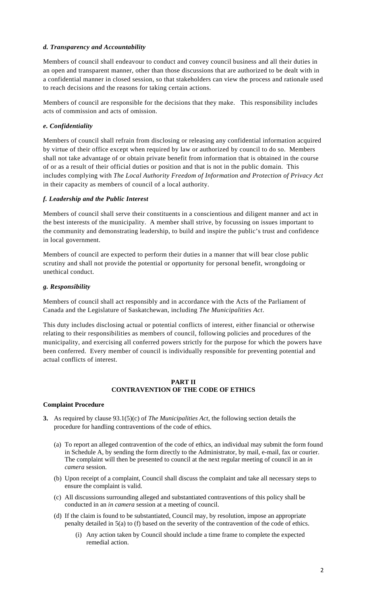### *d. Transparency and Accountability*

Members of council shall endeavour to conduct and convey council business and all their duties in an open and transparent manner, other than those discussions that are authorized to be dealt with in a confidential manner in closed session, so that stakeholders can view the process and rationale used to reach decisions and the reasons for taking certain actions.

Members of council are responsible for the decisions that they make. This responsibility includes acts of commission and acts of omission.

### *e. Confidentiality*

Members of council shall refrain from disclosing or releasing any confidential information acquired by virtue of their office except when required by law or authorized by council to do so. Members shall not take advantage of or obtain private benefit from information that is obtained in the course of or as a result of their official duties or position and that is not in the public domain. This includes complying with *The Local Authority Freedom of Information and Protection of Privacy Act*  in their capacity as members of council of a local authority.

### *f. Leadership and the Public Interest*

Members of council shall serve their constituents in a conscientious and diligent manner and act in the best interests of the municipality. A member shall strive, by focussing on issues important to the community and demonstrating leadership, to build and inspire the public's trust and confidence in local government.

Members of council are expected to perform their duties in a manner that will bear close public scrutiny and shall not provide the potential or opportunity for personal benefit, wrongdoing or unethical conduct.

### *g. Responsibility*

Members of council shall act responsibly and in accordance with the Acts of the Parliament of Canada and the Legislature of Saskatchewan, including *The Municipalities Act*.

This duty includes disclosing actual or potential conflicts of interest, either financial or otherwise relating to their responsibilities as members of council, following policies and procedures of the municipality, and exercising all conferred powers strictly for the purpose for which the powers have been conferred. Every member of council is individually responsible for preventing potential and actual conflicts of interest.

#### **PART II CONTRAVENTION OF THE CODE OF ETHICS**

### **Complaint Procedure**

- **3.** As required by clause 93.1(5)(c) of *The Municipalities Act*, the following section details the procedure for handling contraventions of the code of ethics.
	- (a) To report an alleged contravention of the code of ethics, an individual may submit the form found in Schedule A, by sending the form directly to the Administrator, by mail, e-mail, fax or courier. The complaint will then be presented to council at the next regular meeting of council in an *in camera* session.
	- (b) Upon receipt of a complaint, Council shall discuss the complaint and take all necessary steps to ensure the complaint is valid.
	- (c) All discussions surrounding alleged and substantiated contraventions of this policy shall be conducted in an *in camera* session at a meeting of council.
	- (d) If the claim is found to be substantiated, Council may, by resolution, impose an appropriate penalty detailed in 5(a) to (f) based on the severity of the contravention of the code of ethics.
		- (i) Any action taken by Council should include a time frame to complete the expected remedial action.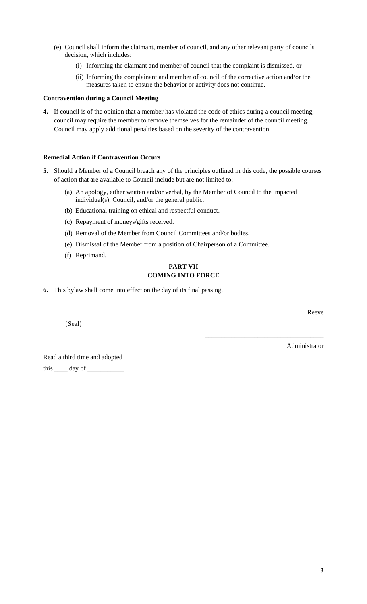- (e) Council shall inform the claimant, member of council, and any other relevant party of councils decision, which includes:
	- (i) Informing the claimant and member of council that the complaint is dismissed, or
	- (ii) Informing the complainant and member of council of the corrective action and/or the measures taken to ensure the behavior or activity does not continue.

#### **Contravention during a Council Meeting**

**4.** If council is of the opinion that a member has violated the code of ethics during a council meeting, council may require the member to remove themselves for the remainder of the council meeting. Council may apply additional penalties based on the severity of the contravention.

### **Remedial Action if Contravention Occurs**

- **5.** Should a Member of a Council breach any of the principles outlined in this code, the possible courses of action that are available to Council include but are not limited to:
	- (a) An apology, either written and/or verbal, by the Member of Council to the impacted individual(s), Council, and/or the general public.
	- (b) Educational training on ethical and respectful conduct.
	- (c) Repayment of moneys/gifts received.
	- (d) Removal of the Member from Council Committees and/or bodies.
	- (e) Dismissal of the Member from a position of Chairperson of a Committee.
	- (f) Reprimand.

### **PART VII COMING INTO FORCE**

**6.** This bylaw shall come into effect on the day of its final passing.

{Seal}

Reeve

Administrator

\_\_\_\_\_\_\_\_\_\_\_\_\_\_\_\_\_\_\_\_\_\_\_\_\_\_\_\_\_\_\_\_\_\_\_\_

\_\_\_\_\_\_\_\_\_\_\_\_\_\_\_\_\_\_\_\_\_\_\_\_\_\_\_\_\_\_\_\_\_\_\_\_

Read a third time and adopted this  $\_\_\_\$  day of  $\_\_\_\$